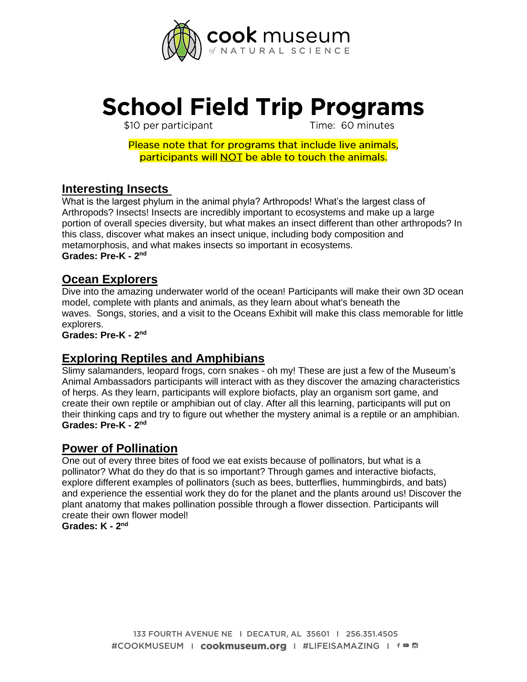

# School Field Trip Programs

Time: 60 minutes

Please note that for programs that include live animals. participants will NOT be able to touch the animals.

# **Interesting Insects**

What is the largest phylum in the animal phyla? Arthropods! What's the largest class of Arthropods? Insects! Insects are incredibly important to ecosystems and make up a large portion of overall species diversity, but what makes an insect different than other arthropods? In this class, discover what makes an insect unique, including body composition and metamorphosis, and what makes insects so important in ecosystems. **Grades: Pre-K - 2 nd**

# **Ocean Explorers**

Dive into the amazing underwater world of the ocean! Participants will make their own 3D ocean model, complete with plants and animals, as they learn about what's beneath the waves. Songs, stories, and a visit to the Oceans Exhibit will make this class memorable for little explorers.

**Grades: Pre-K - 2<sup>nd</sup>** 

# **Exploring Reptiles and Amphibians**

Slimy salamanders, leopard frogs, corn snakes - oh my! These are just a few of the Museum's Animal Ambassadors participants will interact with as they discover the amazing characteristics of herps. As they learn, participants will explore biofacts, play an organism sort game, and create their own reptile or amphibian out of clay. After all this learning, participants will put on their thinking caps and try to figure out whether the mystery animal is a reptile or an amphibian. **Grades: Pre-K - 2<sup>nd</sup>** 

## **Power of Pollination**

One out of every three bites of food we eat exists because of pollinators, but what is a pollinator? What do they do that is so important? Through games and interactive biofacts, explore different examples of pollinators (such as bees, butterflies, hummingbirds, and bats) and experience the essential work they do for the planet and the plants around us! Discover the plant anatomy that makes pollination possible through a flower dissection. Participants will create their own flower model!

**Grades: K - 2 nd**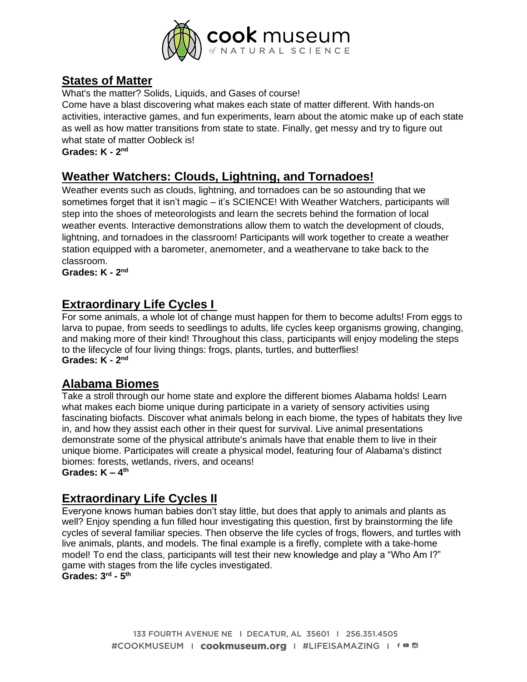

# **States of Matter**

What's the matter? Solids, Liquids, and Gases of course!

Come have a blast discovering what makes each state of matter different. With hands-on activities, interactive games, and fun experiments, learn about the atomic make up of each state as well as how matter transitions from state to state. Finally, get messy and try to figure out what state of matter Oobleck is!

**Grades: K - 2 nd**

# **Weather Watchers: Clouds, Lightning, and Tornadoes!**

Weather events such as clouds, lightning, and tornadoes can be so astounding that we sometimes forget that it isn't magic – it's SCIENCE! With Weather Watchers, participants will step into the shoes of meteorologists and learn the secrets behind the formation of local weather events. Interactive demonstrations allow them to watch the development of clouds, lightning, and tornadoes in the classroom! Participants will work together to create a weather station equipped with a barometer, anemometer, and a weathervane to take back to the classroom.

Grades: K - 2<sup>nd</sup>

# **Extraordinary Life Cycles I**

For some animals, a whole lot of change must happen for them to become adults! From eggs to larva to pupae, from seeds to seedlings to adults, life cycles keep organisms growing, changing, and making more of their kind! Throughout this class, participants will enjoy modeling the steps to the lifecycle of four living things: frogs, plants, turtles, and butterflies! **Grades: K - 2 nd**

## **Alabama Biomes**

Take a stroll through our home state and explore the different biomes Alabama holds! Learn what makes each biome unique during participate in a variety of sensory activities using fascinating biofacts. Discover what animals belong in each biome, the types of habitats they live in, and how they assist each other in their quest for survival. Live animal presentations demonstrate some of the physical attribute's animals have that enable them to live in their unique biome. Participates will create a physical model, featuring four of Alabama's distinct biomes: forests, wetlands, rivers, and oceans! **Grades: K – 4 th**

# **Extraordinary Life Cycles II**

Everyone knows human babies don't stay little, but does that apply to animals and plants as well? Enjoy spending a fun filled hour investigating this question, first by brainstorming the life cycles of several familiar species. Then observe the life cycles of frogs, flowers, and turtles with live animals, plants, and models. The final example is a firefly, complete with a take-home model! To end the class, participants will test their new knowledge and play a "Who Am I?" game with stages from the life cycles investigated. **Grades: 3rd - 5 th**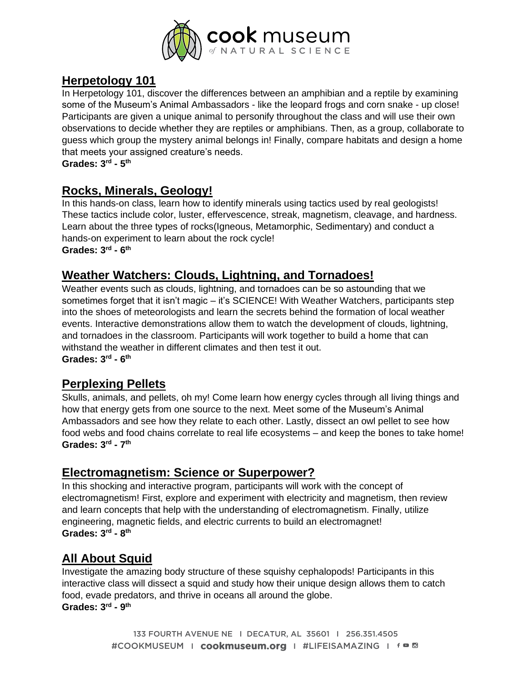

# **Herpetology 101**

In Herpetology 101, discover the differences between an amphibian and a reptile by examining some of the Museum's Animal Ambassadors - like the leopard frogs and corn snake - up close! Participants are given a unique animal to personify throughout the class and will use their own observations to decide whether they are reptiles or amphibians. Then, as a group, collaborate to guess which group the mystery animal belongs in! Finally, compare habitats and design a home that meets your assigned creature's needs.

**Grades: 3rd - 5 th** 

# **Rocks, Minerals, Geology!**

In this hands-on class, learn how to identify minerals using tactics used by real geologists! These tactics include color, luster, effervescence, streak, magnetism, cleavage, and hardness. Learn about the three types of rocks(Igneous, Metamorphic, Sedimentary) and conduct a hands-on experiment to learn about the rock cycle! **Grades: 3rd - 6 th** 

# **Weather Watchers: Clouds, Lightning, and Tornadoes!**

Weather events such as clouds, lightning, and tornadoes can be so astounding that we sometimes forget that it isn't magic – it's SCIENCE! With Weather Watchers, participants step into the shoes of meteorologists and learn the secrets behind the formation of local weather events. Interactive demonstrations allow them to watch the development of clouds, lightning, and tornadoes in the classroom. Participants will work together to build a home that can withstand the weather in different climates and then test it out. **Grades: 3 rd - 6 th**

## **Perplexing Pellets**

Skulls, animals, and pellets, oh my! Come learn how energy cycles through all living things and how that energy gets from one source to the next. Meet some of the Museum's Animal Ambassadors and see how they relate to each other. Lastly, dissect an owl pellet to see how food webs and food chains correlate to real life ecosystems – and keep the bones to take home! **Grades: 3rd - 7 th**

# **Electromagnetism: Science or Superpower?**

In this shocking and interactive program, participants will work with the concept of electromagnetism! First, explore and experiment with electricity and magnetism, then review and learn concepts that help with the understanding of electromagnetism. Finally, utilize engineering, magnetic fields, and electric currents to build an electromagnet! **Grades: 3rd - 8 th**

# **All About Squid**

Investigate the amazing body structure of these squishy cephalopods! Participants in this interactive class will dissect a squid and study how their unique design allows them to catch food, evade predators, and thrive in oceans all around the globe. **Grades: 3rd - 9 th**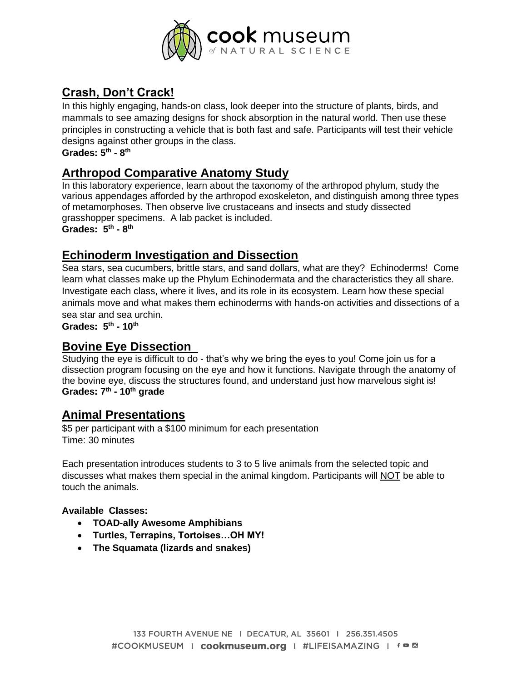

# **Crash, Don't Crack!**

In this highly engaging, hands-on class, look deeper into the structure of plants, birds, and mammals to see amazing designs for shock absorption in the natural world. Then use these principles in constructing a vehicle that is both fast and safe. Participants will test their vehicle designs against other groups in the class.

**Grades: 5th - 8 th**

# **Arthropod Comparative Anatomy Study**

In this laboratory experience, learn about the taxonomy of the arthropod phylum, study the various appendages afforded by the arthropod exoskeleton, and distinguish among three types of metamorphoses. Then observe live crustaceans and insects and study dissected grasshopper specimens. A lab packet is included. **Grades: 5th - 8 th**

# **Echinoderm Investigation and Dissection**

Sea stars, sea cucumbers, brittle stars, and sand dollars, what are they? Echinoderms! Come learn what classes make up the Phylum Echinodermata and the characteristics they all share. Investigate each class, where it lives, and its role in its ecosystem. Learn how these special animals move and what makes them echinoderms with hands-on activities and dissections of a sea star and sea urchin.

**Grades: 5th - 10th**

## **Bovine Eye Dissection**

Studying the eye is difficult to do - that's why we bring the eyes to you! Come join us for a dissection program focusing on the eye and how it functions. Navigate through the anatomy of the bovine eye, discuss the structures found, and understand just how marvelous sight is! **Grades: 7th - 10 th grade**

# **Animal Presentations**

\$5 per participant with a \$100 minimum for each presentation Time: 30 minutes

Each presentation introduces students to 3 to 5 live animals from the selected topic and discusses what makes them special in the animal kingdom. Participants will NOT be able to touch the animals.

## **Available Classes:**

- **TOAD-ally Awesome Amphibians**
- **Turtles, Terrapins, Tortoises…OH MY!**
- **The Squamata (lizards and snakes)**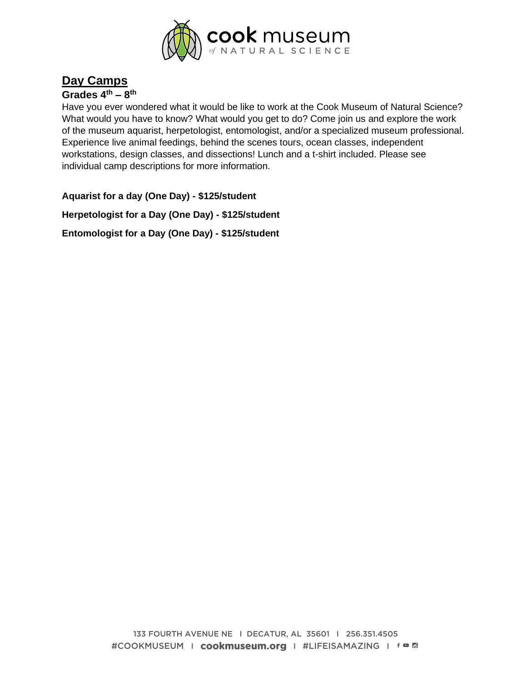

# **Day Camps**

## **Grades 4th – 8 th**

Have you ever wondered what it would be like to work at the Cook Museum of Natural Science? What would you have to know? What would you get to do? Come join us and explore the work of the museum aquarist, herpetologist, entomologist, and/or a specialized museum professional. Experience live animal feedings, behind the scenes tours, ocean classes, independent workstations, design classes, and dissections! Lunch and a t-shirt included. Please see individual camp descriptions for more information.

**Aquarist for a day (One Day) - \$125/student**

**Herpetologist for a Day (One Day) - \$125/student**

**Entomologist for a Day (One Day) - \$125/student**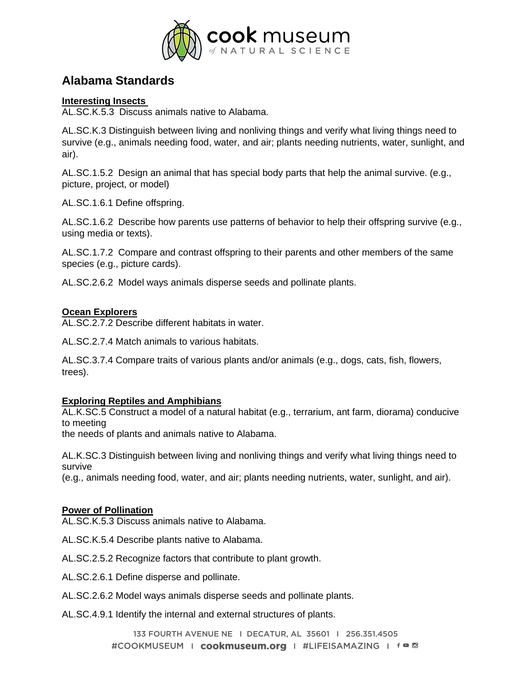

# **Alabama Standards**

## **Interesting Insects**

AL.SC.K.5.3 Discuss animals native to Alabama.

AL.SC.K.3 Distinguish between living and nonliving things and verify what living things need to survive (e.g., animals needing food, water, and air; plants needing nutrients, water, sunlight, and air).

AL.SC.1.5.2 Design an animal that has special body parts that help the animal survive. (e.g., picture, project, or model)

AL.SC.1.6.1 Define offspring.

AL.SC.1.6.2 Describe how parents use patterns of behavior to help their offspring survive (e.g., using media or texts).

AL.SC.1.7.2 Compare and contrast offspring to their parents and other members of the same species (e.g., picture cards).

AL.SC.2.6.2 Model ways animals disperse seeds and pollinate plants.

## **Ocean Explorers**

AL.SC.2.7.2 Describe different habitats in water.

AL.SC.2.7.4 Match animals to various habitats.

AL.SC.3.7.4 Compare traits of various plants and/or animals (e.g., dogs, cats, fish, flowers, trees).

## **Exploring Reptiles and Amphibians**

AL.K.SC.5 Construct a model of a natural habitat (e.g., terrarium, ant farm, diorama) conducive to meeting

the needs of plants and animals native to Alabama.

AL.K.SC.3 Distinguish between living and nonliving things and verify what living things need to survive

(e.g., animals needing food, water, and air; plants needing nutrients, water, sunlight, and air).

## **Power of Pollination**

AL.SC.K.5.3 Discuss animals native to Alabama.

AL.SC.K.5.4 Describe plants native to Alabama.

AL.SC.2.5.2 Recognize factors that contribute to plant growth.

AL.SC.2.6.1 Define disperse and pollinate.

AL.SC.2.6.2 Model ways animals disperse seeds and pollinate plants.

AL.SC.4.9.1 Identify the internal and external structures of plants.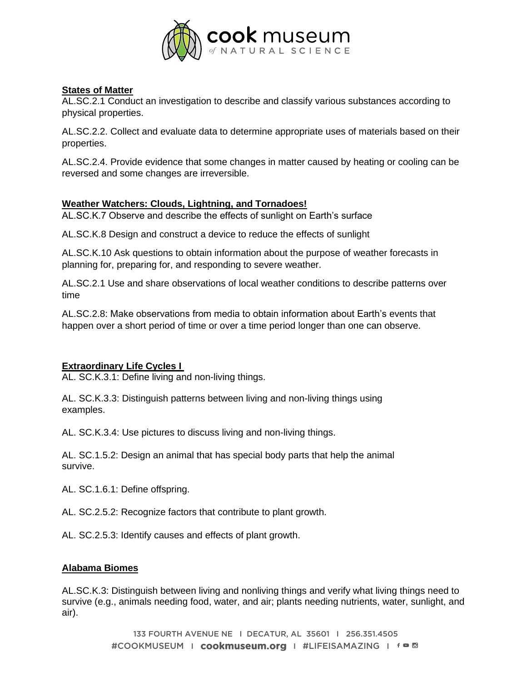

## **States of Matter**

AL.SC.2.1 Conduct an investigation to describe and classify various substances according to physical properties.

AL.SC.2.2. Collect and evaluate data to determine appropriate uses of materials based on their properties.

AL.SC.2.4. Provide evidence that some changes in matter caused by heating or cooling can be reversed and some changes are irreversible.

## **Weather Watchers: Clouds, Lightning, and Tornadoes!**

AL.SC.K.7 Observe and describe the effects of sunlight on Earth's surface

AL.SC.K.8 Design and construct a device to reduce the effects of sunlight

AL.SC.K.10 Ask questions to obtain information about the purpose of weather forecasts in planning for, preparing for, and responding to severe weather.

AL.SC.2.1 Use and share observations of local weather conditions to describe patterns over time

AL.SC.2.8: Make observations from media to obtain information about Earth's events that happen over a short period of time or over a time period longer than one can observe.

## **Extraordinary Life Cycles I**

AL. SC.K.3.1: Define living and non-living things.

AL. SC.K.3.3: Distinguish patterns between living and non-living things using examples.

AL. SC.K.3.4: Use pictures to discuss living and non-living things.

AL. SC.1.5.2: Design an animal that has special body parts that help the animal survive.

AL. SC.1.6.1: Define offspring.

AL. SC.2.5.2: Recognize factors that contribute to plant growth.

AL. SC.2.5.3: Identify causes and effects of plant growth.

## **Alabama Biomes**

AL.SC.K.3: Distinguish between living and nonliving things and verify what living things need to survive (e.g., animals needing food, water, and air; plants needing nutrients, water, sunlight, and air).

> 133 FOURTH AVENUE NE I DECATUR, AL 35601 I 256.351.4505 #COOKMUSEUM I cookmuseum.org I #LIFEISAMAZING I f 0 8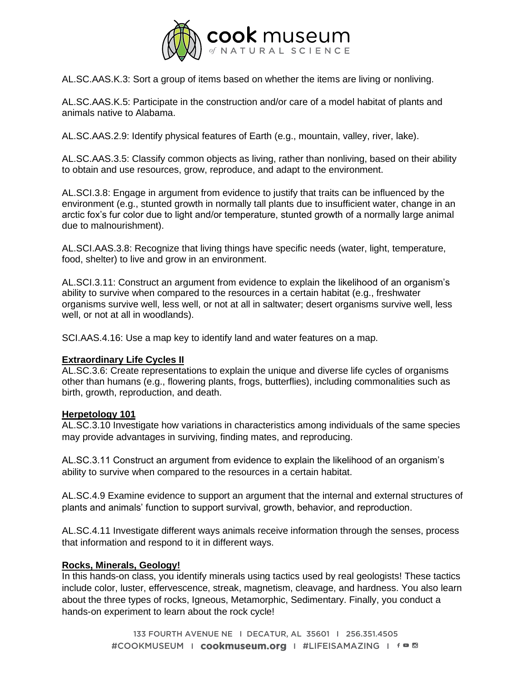

AL.SC.AAS.K.3: Sort a group of items based on whether the items are living or nonliving.

AL.SC.AAS.K.5: Participate in the construction and/or care of a model habitat of plants and animals native to Alabama.

AL.SC.AAS.2.9: Identify physical features of Earth (e.g., mountain, valley, river, lake).

AL.SC.AAS.3.5: Classify common objects as living, rather than nonliving, based on their ability to obtain and use resources, grow, reproduce, and adapt to the environment.

AL.SCI.3.8: Engage in argument from evidence to justify that traits can be influenced by the environment (e.g., stunted growth in normally tall plants due to insufficient water, change in an arctic fox's fur color due to light and/or temperature, stunted growth of a normally large animal due to malnourishment).

AL.SCI.AAS.3.8: Recognize that living things have specific needs (water, light, temperature, food, shelter) to live and grow in an environment.

AL.SCI.3.11: Construct an argument from evidence to explain the likelihood of an organism's ability to survive when compared to the resources in a certain habitat (e.g., freshwater organisms survive well, less well, or not at all in saltwater; desert organisms survive well, less well, or not at all in woodlands).

SCI.AAS.4.16: Use a map key to identify land and water features on a map.

#### **Extraordinary Life Cycles II**

AL.SC.3.6: Create representations to explain the unique and diverse life cycles of organisms other than humans (e.g., flowering plants, frogs, butterflies), including commonalities such as birth, growth, reproduction, and death.

#### **Herpetology 101**

AL.SC.3.10 Investigate how variations in characteristics among individuals of the same species may provide advantages in surviving, finding mates, and reproducing.

AL.SC.3.11 Construct an argument from evidence to explain the likelihood of an organism's ability to survive when compared to the resources in a certain habitat.

AL.SC.4.9 Examine evidence to support an argument that the internal and external structures of plants and animals' function to support survival, growth, behavior, and reproduction.

AL.SC.4.11 Investigate different ways animals receive information through the senses, process that information and respond to it in different ways.

#### **Rocks, Minerals, Geology!**

In this hands-on class, you identify minerals using tactics used by real geologists! These tactics include color, luster, effervescence, streak, magnetism, cleavage, and hardness. You also learn about the three types of rocks, Igneous, Metamorphic, Sedimentary. Finally, you conduct a hands-on experiment to learn about the rock cycle!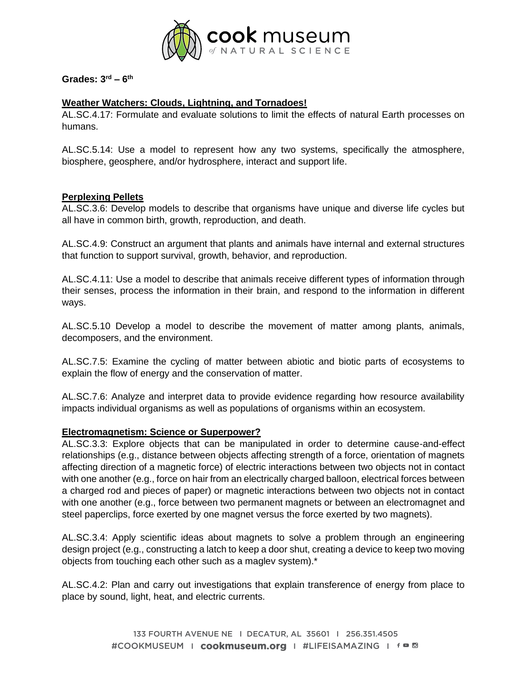

**Grades: 3rd – 6 th** 

## **Weather Watchers: Clouds, Lightning, and Tornadoes!**

AL.SC.4.17: Formulate and evaluate solutions to limit the effects of natural Earth processes on humans.

AL.SC.5.14: Use a model to represent how any two systems, specifically the atmosphere, biosphere, geosphere, and/or hydrosphere, interact and support life.

## **Perplexing Pellets**

AL.SC.3.6: Develop models to describe that organisms have unique and diverse life cycles but all have in common birth, growth, reproduction, and death.

AL.SC.4.9: Construct an argument that plants and animals have internal and external structures that function to support survival, growth, behavior, and reproduction.

AL.SC.4.11: Use a model to describe that animals receive different types of information through their senses, process the information in their brain, and respond to the information in different ways.

AL.SC.5.10 Develop a model to describe the movement of matter among plants, animals, decomposers, and the environment.

AL.SC.7.5: Examine the cycling of matter between abiotic and biotic parts of ecosystems to explain the flow of energy and the conservation of matter.

AL.SC.7.6: Analyze and interpret data to provide evidence regarding how resource availability impacts individual organisms as well as populations of organisms within an ecosystem.

## **Electromagnetism: Science or Superpower?**

AL.SC.3.3: Explore objects that can be manipulated in order to determine cause-and-effect relationships (e.g., distance between objects affecting strength of a force, orientation of magnets affecting direction of a magnetic force) of electric interactions between two objects not in contact with one another (e.g., force on hair from an electrically charged balloon, electrical forces between a charged rod and pieces of paper) or magnetic interactions between two objects not in contact with one another (e.g., force between two permanent magnets or between an electromagnet and steel paperclips, force exerted by one magnet versus the force exerted by two magnets).

AL.SC.3.4: Apply scientific ideas about magnets to solve a problem through an engineering design project (e.g., constructing a latch to keep a door shut, creating a device to keep two moving objects from touching each other such as a maglev system).\*

AL.SC.4.2: Plan and carry out investigations that explain transference of energy from place to place by sound, light, heat, and electric currents.